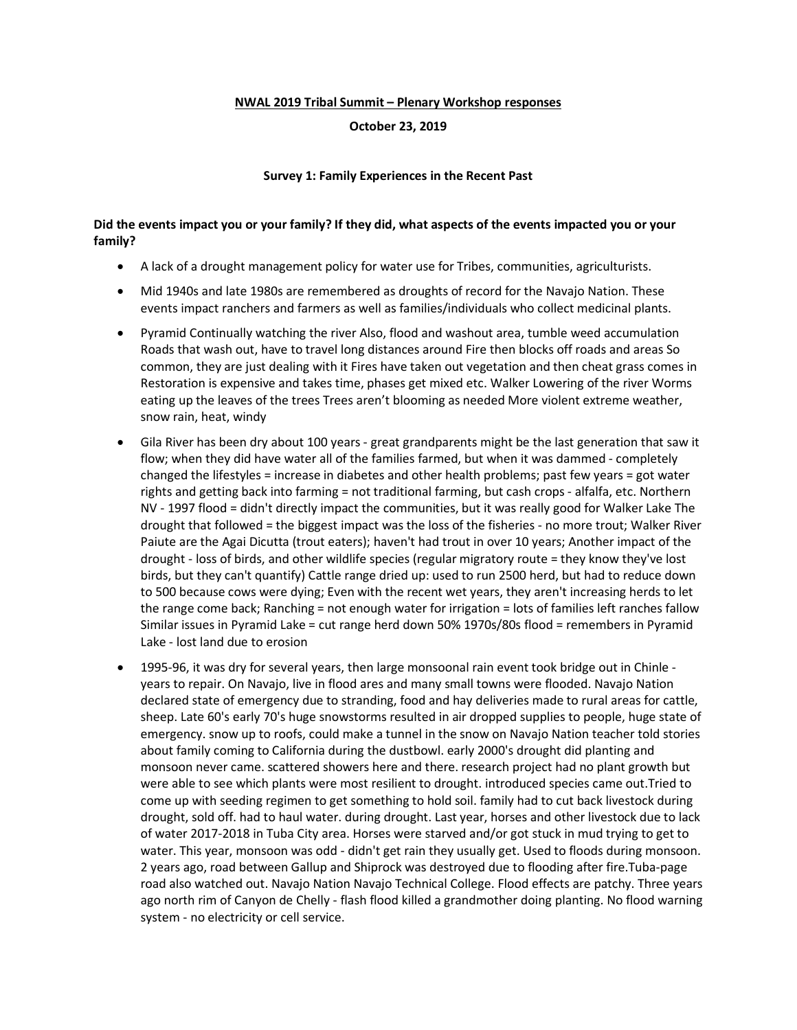#### **NWAL 2019 Tribal Summit – Plenary Workshop responses**

### **October 23, 2019**

### **Survey 1: Family Experiences in the Recent Past**

### **Did the events impact you or your family? If they did, what aspects of the events impacted you or your family?**

- A lack of a drought management policy for water use for Tribes, communities, agriculturists.
- Mid 1940s and late 1980s are remembered as droughts of record for the Navajo Nation. These events impact ranchers and farmers as well as families/individuals who collect medicinal plants.
- Pyramid Continually watching the river Also, flood and washout area, tumble weed accumulation Roads that wash out, have to travel long distances around Fire then blocks off roads and areas So common, they are just dealing with it Fires have taken out vegetation and then cheat grass comes in Restoration is expensive and takes time, phases get mixed etc. Walker Lowering of the river Worms eating up the leaves of the trees Trees aren't blooming as needed More violent extreme weather, snow rain, heat, windy
- Gila River has been dry about 100 years great grandparents might be the last generation that saw it flow; when they did have water all of the families farmed, but when it was dammed - completely changed the lifestyles = increase in diabetes and other health problems; past few years = got water rights and getting back into farming = not traditional farming, but cash crops - alfalfa, etc. Northern NV - 1997 flood = didn't directly impact the communities, but it was really good for Walker Lake The drought that followed = the biggest impact was the loss of the fisheries - no more trout; Walker River Paiute are the Agai Dicutta (trout eaters); haven't had trout in over 10 years; Another impact of the drought - loss of birds, and other wildlife species (regular migratory route = they know they've lost birds, but they can't quantify) Cattle range dried up: used to run 2500 herd, but had to reduce down to 500 because cows were dying; Even with the recent wet years, they aren't increasing herds to let the range come back; Ranching = not enough water for irrigation = lots of families left ranches fallow Similar issues in Pyramid Lake = cut range herd down 50% 1970s/80s flood = remembers in Pyramid Lake - lost land due to erosion
- 1995-96, it was dry for several years, then large monsoonal rain event took bridge out in Chinle years to repair. On Navajo, live in flood ares and many small towns were flooded. Navajo Nation declared state of emergency due to stranding, food and hay deliveries made to rural areas for cattle, sheep. Late 60's early 70's huge snowstorms resulted in air dropped supplies to people, huge state of emergency. snow up to roofs, could make a tunnel in the snow on Navajo Nation teacher told stories about family coming to California during the dustbowl. early 2000's drought did planting and monsoon never came. scattered showers here and there. research project had no plant growth but were able to see which plants were most resilient to drought. introduced species came out.Tried to come up with seeding regimen to get something to hold soil. family had to cut back livestock during drought, sold off. had to haul water. during drought. Last year, horses and other livestock due to lack of water 2017-2018 in Tuba City area. Horses were starved and/or got stuck in mud trying to get to water. This year, monsoon was odd - didn't get rain they usually get. Used to floods during monsoon. 2 years ago, road between Gallup and Shiprock was destroyed due to flooding after fire.Tuba-page road also watched out. Navajo Nation Navajo Technical College. Flood effects are patchy. Three years ago north rim of Canyon de Chelly - flash flood killed a grandmother doing planting. No flood warning system - no electricity or cell service.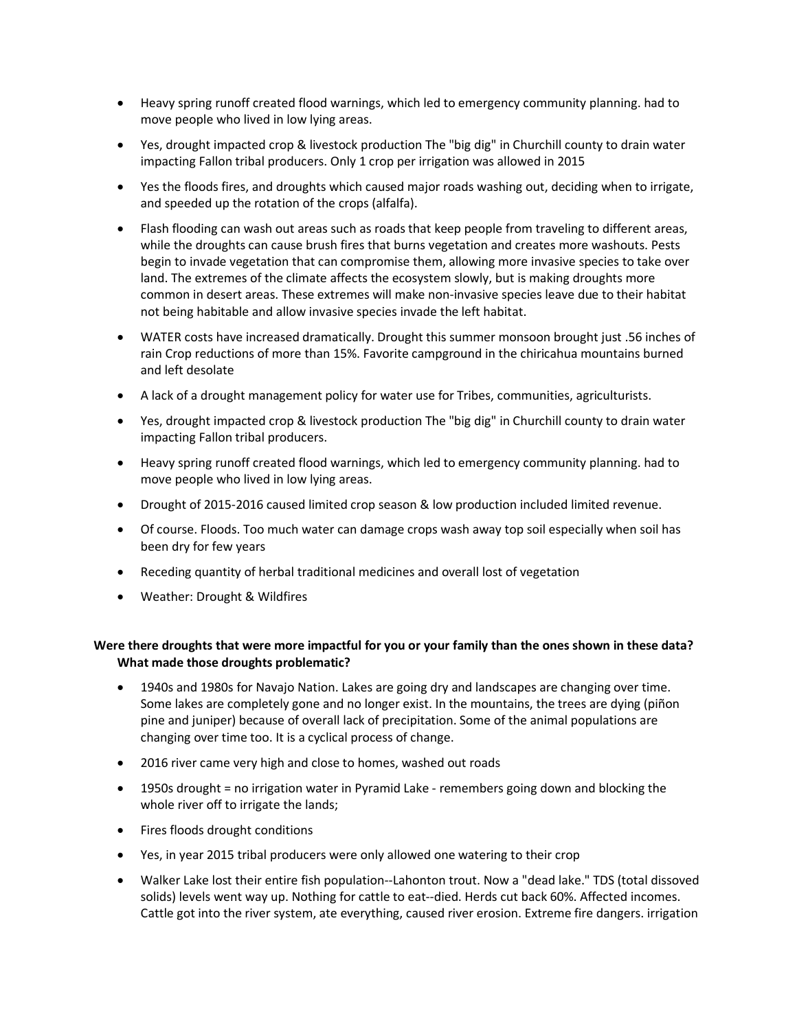- Heavy spring runoff created flood warnings, which led to emergency community planning. had to move people who lived in low lying areas.
- Yes, drought impacted crop & livestock production The "big dig" in Churchill county to drain water impacting Fallon tribal producers. Only 1 crop per irrigation was allowed in 2015
- Yes the floods fires, and droughts which caused major roads washing out, deciding when to irrigate, and speeded up the rotation of the crops (alfalfa).
- Flash flooding can wash out areas such as roads that keep people from traveling to different areas, while the droughts can cause brush fires that burns vegetation and creates more washouts. Pests begin to invade vegetation that can compromise them, allowing more invasive species to take over land. The extremes of the climate affects the ecosystem slowly, but is making droughts more common in desert areas. These extremes will make non-invasive species leave due to their habitat not being habitable and allow invasive species invade the left habitat.
- WATER costs have increased dramatically. Drought this summer monsoon brought just .56 inches of rain Crop reductions of more than 15%. Favorite campground in the chiricahua mountains burned and left desolate
- A lack of a drought management policy for water use for Tribes, communities, agriculturists.
- Yes, drought impacted crop & livestock production The "big dig" in Churchill county to drain water impacting Fallon tribal producers.
- Heavy spring runoff created flood warnings, which led to emergency community planning. had to move people who lived in low lying areas.
- Drought of 2015-2016 caused limited crop season & low production included limited revenue.
- Of course. Floods. Too much water can damage crops wash away top soil especially when soil has been dry for few years
- Receding quantity of herbal traditional medicines and overall lost of vegetation
- Weather: Drought & Wildfires

# **Were there droughts that were more impactful for you or your family than the ones shown in these data? What made those droughts problematic?**

- 1940s and 1980s for Navajo Nation. Lakes are going dry and landscapes are changing over time. Some lakes are completely gone and no longer exist. In the mountains, the trees are dying (piñon pine and juniper) because of overall lack of precipitation. Some of the animal populations are changing over time too. It is a cyclical process of change.
- 2016 river came very high and close to homes, washed out roads
- 1950s drought = no irrigation water in Pyramid Lake remembers going down and blocking the whole river off to irrigate the lands;
- Fires floods drought conditions
- Yes, in year 2015 tribal producers were only allowed one watering to their crop
- Walker Lake lost their entire fish population--Lahonton trout. Now a "dead lake." TDS (total dissoved solids) levels went way up. Nothing for cattle to eat--died. Herds cut back 60%. Affected incomes. Cattle got into the river system, ate everything, caused river erosion. Extreme fire dangers. irrigation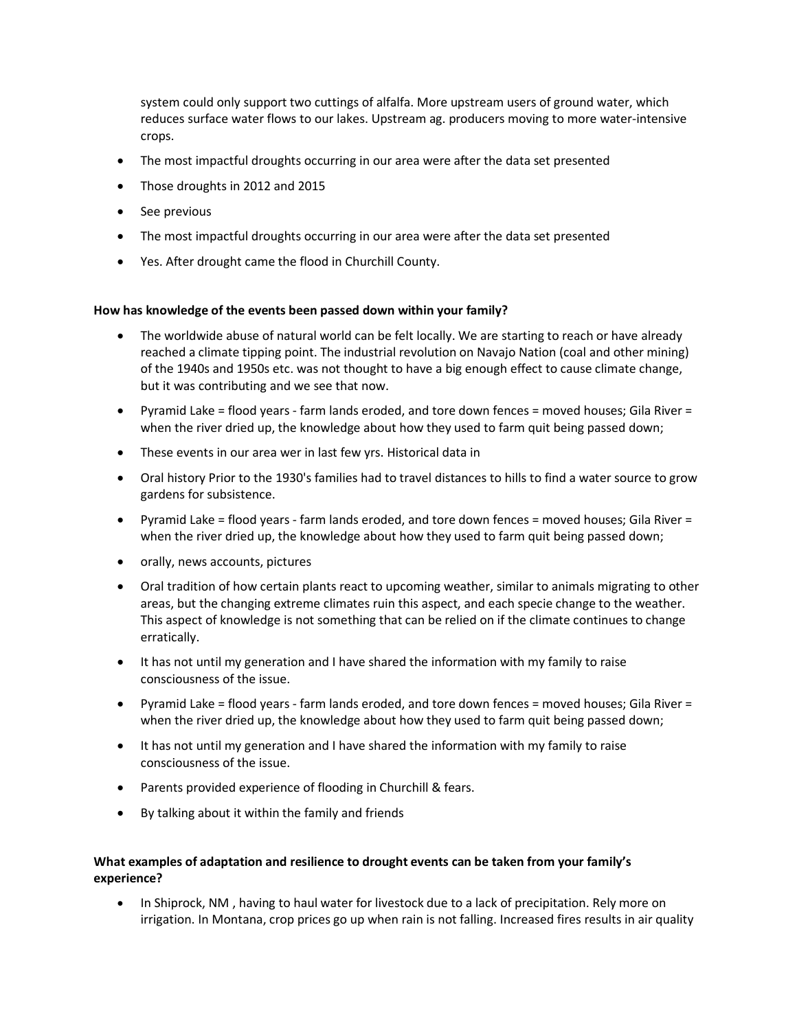system could only support two cuttings of alfalfa. More upstream users of ground water, which reduces surface water flows to our lakes. Upstream ag. producers moving to more water-intensive crops.

- The most impactful droughts occurring in our area were after the data set presented
- Those droughts in 2012 and 2015
- See previous
- The most impactful droughts occurring in our area were after the data set presented
- Yes. After drought came the flood in Churchill County.

## **How has knowledge of the events been passed down within your family?**

- The worldwide abuse of natural world can be felt locally. We are starting to reach or have already reached a climate tipping point. The industrial revolution on Navajo Nation (coal and other mining) of the 1940s and 1950s etc. was not thought to have a big enough effect to cause climate change, but it was contributing and we see that now.
- Pyramid Lake = flood years farm lands eroded, and tore down fences = moved houses; Gila River = when the river dried up, the knowledge about how they used to farm quit being passed down;
- These events in our area wer in last few yrs. Historical data in
- Oral history Prior to the 1930's families had to travel distances to hills to find a water source to grow gardens for subsistence.
- Pyramid Lake = flood years farm lands eroded, and tore down fences = moved houses; Gila River = when the river dried up, the knowledge about how they used to farm quit being passed down;
- orally, news accounts, pictures
- Oral tradition of how certain plants react to upcoming weather, similar to animals migrating to other areas, but the changing extreme climates ruin this aspect, and each specie change to the weather. This aspect of knowledge is not something that can be relied on if the climate continues to change erratically.
- It has not until my generation and I have shared the information with my family to raise consciousness of the issue.
- Pyramid Lake = flood years farm lands eroded, and tore down fences = moved houses; Gila River = when the river dried up, the knowledge about how they used to farm quit being passed down;
- It has not until my generation and I have shared the information with my family to raise consciousness of the issue.
- Parents provided experience of flooding in Churchill & fears.
- By talking about it within the family and friends

# **What examples of adaptation and resilience to drought events can be taken from your family's experience?**

• In Shiprock, NM , having to haul water for livestock due to a lack of precipitation. Rely more on irrigation. In Montana, crop prices go up when rain is not falling. Increased fires results in air quality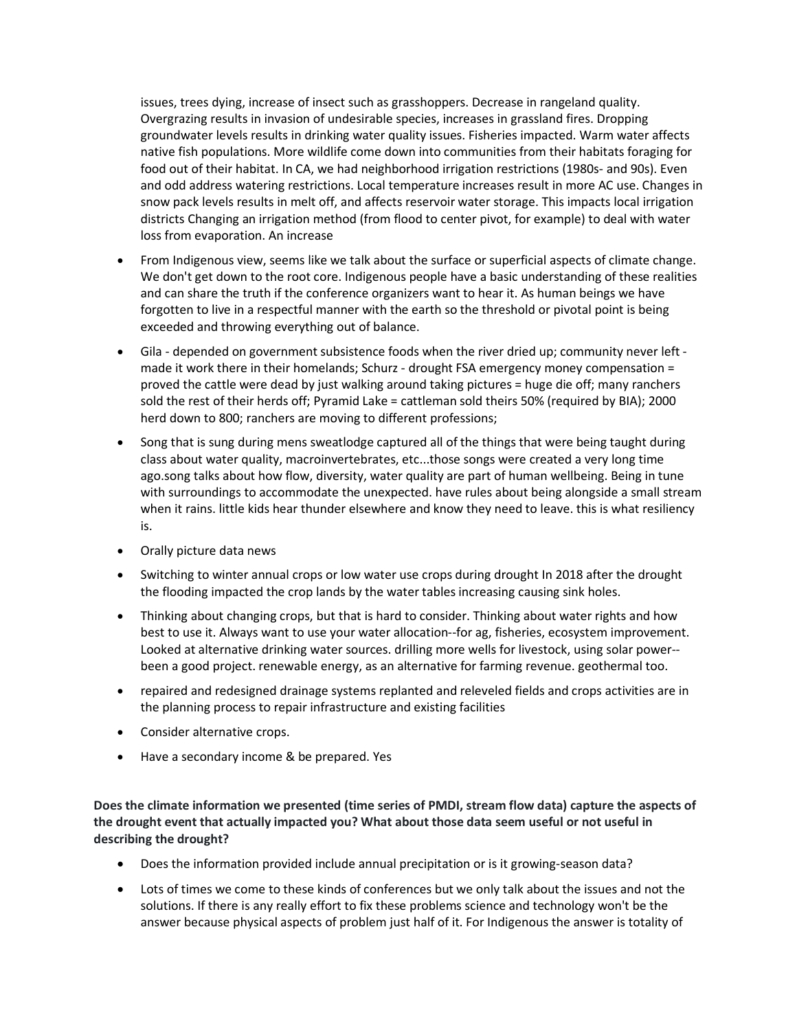issues, trees dying, increase of insect such as grasshoppers. Decrease in rangeland quality. Overgrazing results in invasion of undesirable species, increases in grassland fires. Dropping groundwater levels results in drinking water quality issues. Fisheries impacted. Warm water affects native fish populations. More wildlife come down into communities from their habitats foraging for food out of their habitat. In CA, we had neighborhood irrigation restrictions (1980s- and 90s). Even and odd address watering restrictions. Local temperature increases result in more AC use. Changes in snow pack levels results in melt off, and affects reservoir water storage. This impacts local irrigation districts Changing an irrigation method (from flood to center pivot, for example) to deal with water loss from evaporation. An increase

- From Indigenous view, seems like we talk about the surface or superficial aspects of climate change. We don't get down to the root core. Indigenous people have a basic understanding of these realities and can share the truth if the conference organizers want to hear it. As human beings we have forgotten to live in a respectful manner with the earth so the threshold or pivotal point is being exceeded and throwing everything out of balance.
- Gila depended on government subsistence foods when the river dried up; community never left made it work there in their homelands; Schurz - drought FSA emergency money compensation = proved the cattle were dead by just walking around taking pictures = huge die off; many ranchers sold the rest of their herds off; Pyramid Lake = cattleman sold theirs 50% (required by BIA); 2000 herd down to 800; ranchers are moving to different professions;
- Song that is sung during mens sweatlodge captured all of the things that were being taught during class about water quality, macroinvertebrates, etc...those songs were created a very long time ago.song talks about how flow, diversity, water quality are part of human wellbeing. Being in tune with surroundings to accommodate the unexpected. have rules about being alongside a small stream when it rains. little kids hear thunder elsewhere and know they need to leave. this is what resiliency is.
- Orally picture data news
- Switching to winter annual crops or low water use crops during drought In 2018 after the drought the flooding impacted the crop lands by the water tables increasing causing sink holes.
- Thinking about changing crops, but that is hard to consider. Thinking about water rights and how best to use it. Always want to use your water allocation--for ag, fisheries, ecosystem improvement. Looked at alternative drinking water sources. drilling more wells for livestock, using solar power- been a good project. renewable energy, as an alternative for farming revenue. geothermal too.
- repaired and redesigned drainage systems replanted and releveled fields and crops activities are in the planning process to repair infrastructure and existing facilities
- Consider alternative crops.
- Have a secondary income & be prepared. Yes

**Does the climate information we presented (time series of PMDI, stream flow data) capture the aspects of the drought event that actually impacted you? What about those data seem useful or not useful in describing the drought?**

- Does the information provided include annual precipitation or is it growing-season data?
- Lots of times we come to these kinds of conferences but we only talk about the issues and not the solutions. If there is any really effort to fix these problems science and technology won't be the answer because physical aspects of problem just half of it. For Indigenous the answer is totality of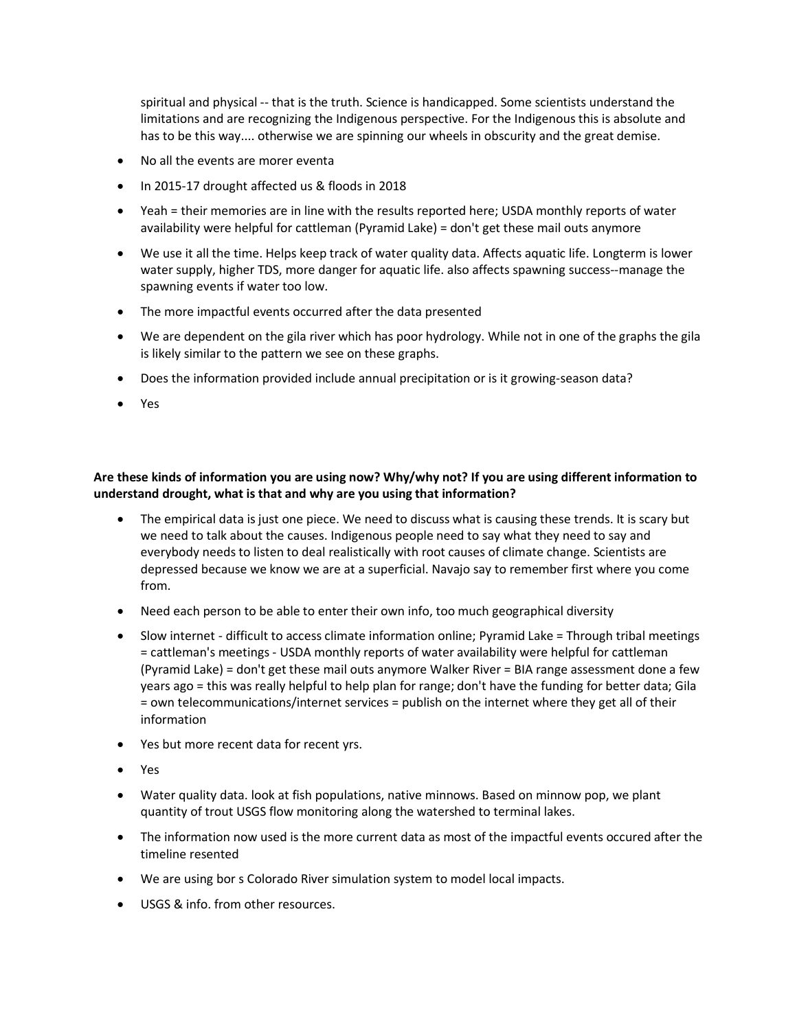spiritual and physical -- that is the truth. Science is handicapped. Some scientists understand the limitations and are recognizing the Indigenous perspective. For the Indigenous this is absolute and has to be this way.... otherwise we are spinning our wheels in obscurity and the great demise.

- No all the events are morer eventa
- In 2015-17 drought affected us & floods in 2018
- Yeah = their memories are in line with the results reported here; USDA monthly reports of water availability were helpful for cattleman (Pyramid Lake) = don't get these mail outs anymore
- We use it all the time. Helps keep track of water quality data. Affects aquatic life. Longterm is lower water supply, higher TDS, more danger for aquatic life. also affects spawning success--manage the spawning events if water too low.
- The more impactful events occurred after the data presented
- We are dependent on the gila river which has poor hydrology. While not in one of the graphs the gila is likely similar to the pattern we see on these graphs.
- Does the information provided include annual precipitation or is it growing-season data?
- Yes

# **Are these kinds of information you are using now? Why/why not? If you are using different information to understand drought, what is that and why are you using that information?**

- The empirical data is just one piece. We need to discuss what is causing these trends. It is scary but we need to talk about the causes. Indigenous people need to say what they need to say and everybody needs to listen to deal realistically with root causes of climate change. Scientists are depressed because we know we are at a superficial. Navajo say to remember first where you come from.
- Need each person to be able to enter their own info, too much geographical diversity
- Slow internet difficult to access climate information online; Pyramid Lake = Through tribal meetings = cattleman's meetings - USDA monthly reports of water availability were helpful for cattleman (Pyramid Lake) = don't get these mail outs anymore Walker River = BIA range assessment done a few years ago = this was really helpful to help plan for range; don't have the funding for better data; Gila = own telecommunications/internet services = publish on the internet where they get all of their information
- Yes but more recent data for recent yrs.
- Yes
- Water quality data. look at fish populations, native minnows. Based on minnow pop, we plant quantity of trout USGS flow monitoring along the watershed to terminal lakes.
- The information now used is the more current data as most of the impactful events occured after the timeline resented
- We are using bor s Colorado River simulation system to model local impacts.
- USGS & info. from other resources.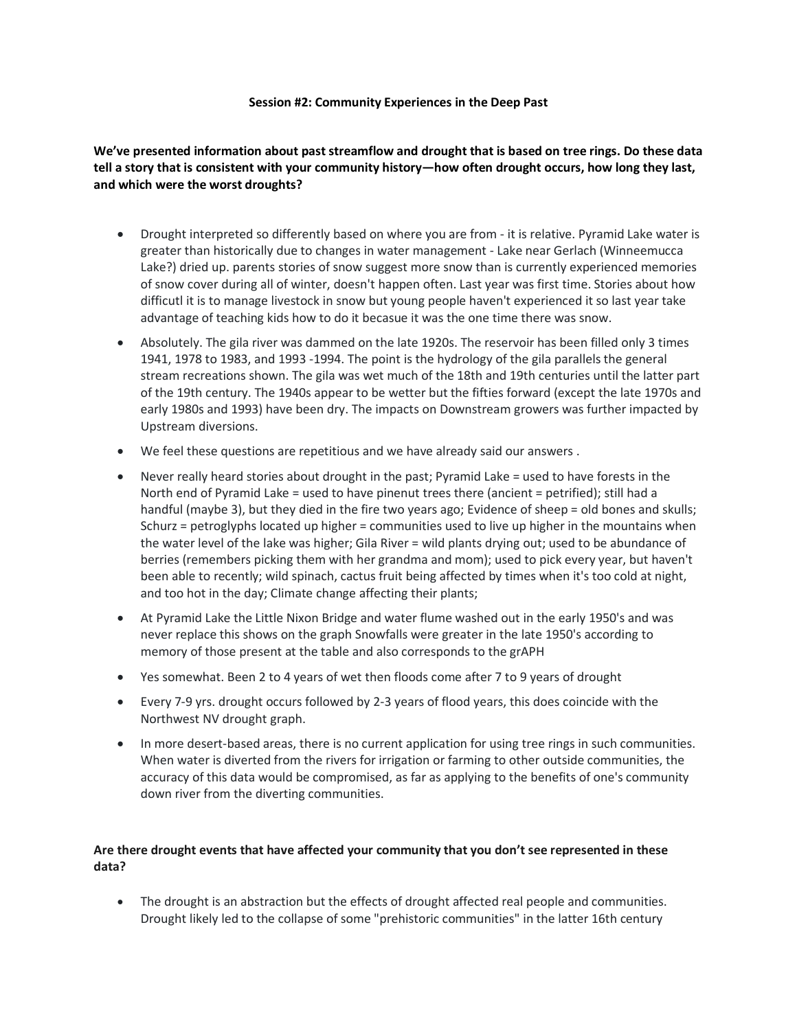### **Session #2: Community Experiences in the Deep Past**

# **We've presented information about past streamflow and drought that is based on tree rings. Do these data tell a story that is consistent with your community history—how often drought occurs, how long they last, and which were the worst droughts?**

- Drought interpreted so differently based on where you are from it is relative. Pyramid Lake water is greater than historically due to changes in water management - Lake near Gerlach (Winneemucca Lake?) dried up. parents stories of snow suggest more snow than is currently experienced memories of snow cover during all of winter, doesn't happen often. Last year was first time. Stories about how difficutl it is to manage livestock in snow but young people haven't experienced it so last year take advantage of teaching kids how to do it becasue it was the one time there was snow.
- Absolutely. The gila river was dammed on the late 1920s. The reservoir has been filled only 3 times 1941, 1978 to 1983, and 1993 -1994. The point is the hydrology of the gila parallels the general stream recreations shown. The gila was wet much of the 18th and 19th centuries until the latter part of the 19th century. The 1940s appear to be wetter but the fifties forward (except the late 1970s and early 1980s and 1993) have been dry. The impacts on Downstream growers was further impacted by Upstream diversions.
- We feel these questions are repetitious and we have already said our answers .
- Never really heard stories about drought in the past; Pyramid Lake = used to have forests in the North end of Pyramid Lake = used to have pinenut trees there (ancient = petrified); still had a handful (maybe 3), but they died in the fire two years ago; Evidence of sheep = old bones and skulls; Schurz = petroglyphs located up higher = communities used to live up higher in the mountains when the water level of the lake was higher; Gila River = wild plants drying out; used to be abundance of berries (remembers picking them with her grandma and mom); used to pick every year, but haven't been able to recently; wild spinach, cactus fruit being affected by times when it's too cold at night, and too hot in the day; Climate change affecting their plants;
- At Pyramid Lake the Little Nixon Bridge and water flume washed out in the early 1950's and was never replace this shows on the graph Snowfalls were greater in the late 1950's according to memory of those present at the table and also corresponds to the grAPH
- Yes somewhat. Been 2 to 4 years of wet then floods come after 7 to 9 years of drought
- Every 7-9 yrs. drought occurs followed by 2-3 years of flood years, this does coincide with the Northwest NV drought graph.
- In more desert-based areas, there is no current application for using tree rings in such communities. When water is diverted from the rivers for irrigation or farming to other outside communities, the accuracy of this data would be compromised, as far as applying to the benefits of one's community down river from the diverting communities.

# **Are there drought events that have affected your community that you don't see represented in these data?**

• The drought is an abstraction but the effects of drought affected real people and communities. Drought likely led to the collapse of some "prehistoric communities" in the latter 16th century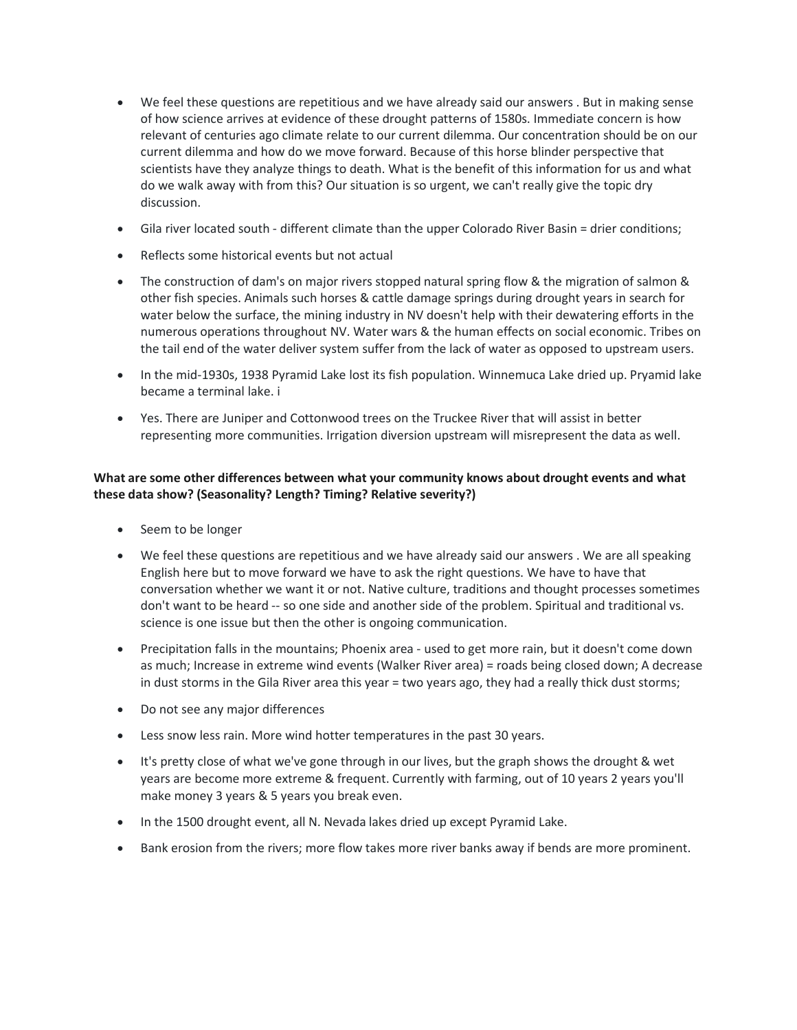- We feel these questions are repetitious and we have already said our answers . But in making sense of how science arrives at evidence of these drought patterns of 1580s. Immediate concern is how relevant of centuries ago climate relate to our current dilemma. Our concentration should be on our current dilemma and how do we move forward. Because of this horse blinder perspective that scientists have they analyze things to death. What is the benefit of this information for us and what do we walk away with from this? Our situation is so urgent, we can't really give the topic dry discussion.
- Gila river located south different climate than the upper Colorado River Basin = drier conditions;
- Reflects some historical events but not actual
- The construction of dam's on major rivers stopped natural spring flow & the migration of salmon & other fish species. Animals such horses & cattle damage springs during drought years in search for water below the surface, the mining industry in NV doesn't help with their dewatering efforts in the numerous operations throughout NV. Water wars & the human effects on social economic. Tribes on the tail end of the water deliver system suffer from the lack of water as opposed to upstream users.
- In the mid-1930s, 1938 Pyramid Lake lost its fish population. Winnemuca Lake dried up. Pryamid lake became a terminal lake. i
- Yes. There are Juniper and Cottonwood trees on the Truckee River that will assist in better representing more communities. Irrigation diversion upstream will misrepresent the data as well.

# **What are some other differences between what your community knows about drought events and what these data show? (Seasonality? Length? Timing? Relative severity?)**

- Seem to be longer
- We feel these questions are repetitious and we have already said our answers . We are all speaking English here but to move forward we have to ask the right questions. We have to have that conversation whether we want it or not. Native culture, traditions and thought processes sometimes don't want to be heard -- so one side and another side of the problem. Spiritual and traditional vs. science is one issue but then the other is ongoing communication.
- Precipitation falls in the mountains; Phoenix area used to get more rain, but it doesn't come down as much; Increase in extreme wind events (Walker River area) = roads being closed down; A decrease in dust storms in the Gila River area this year = two years ago, they had a really thick dust storms;
- Do not see any major differences
- Less snow less rain. More wind hotter temperatures in the past 30 years.
- It's pretty close of what we've gone through in our lives, but the graph shows the drought & wet years are become more extreme & frequent. Currently with farming, out of 10 years 2 years you'll make money 3 years & 5 years you break even.
- In the 1500 drought event, all N. Nevada lakes dried up except Pyramid Lake.
- Bank erosion from the rivers; more flow takes more river banks away if bends are more prominent.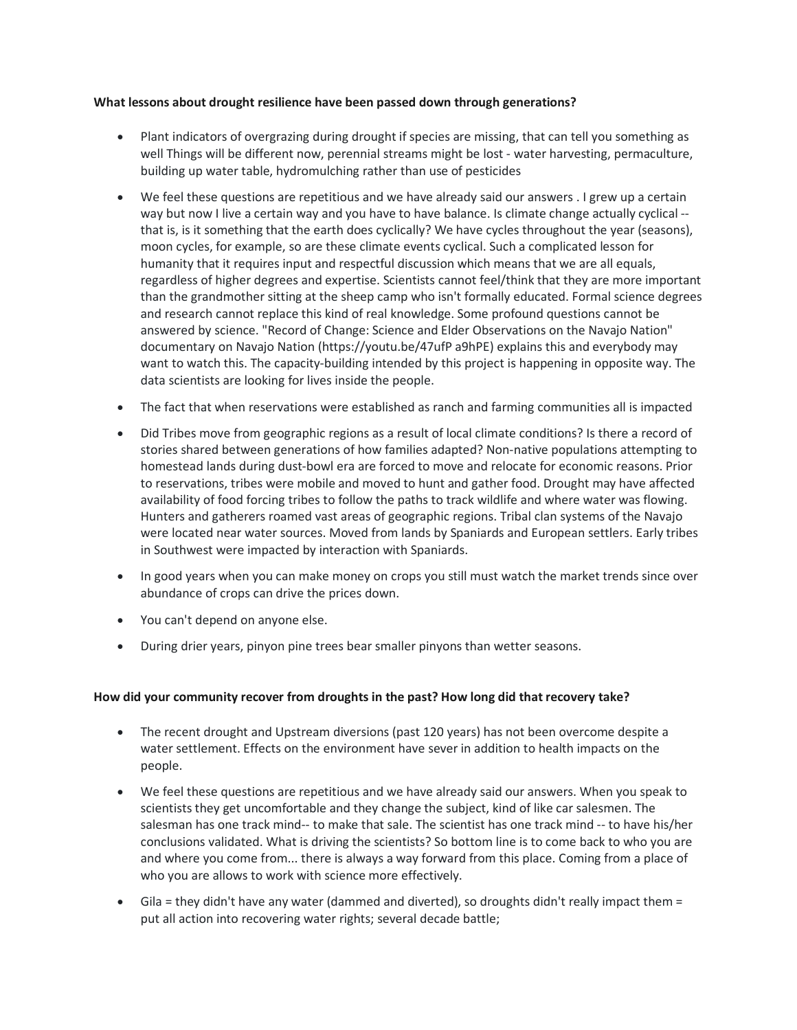### **What lessons about drought resilience have been passed down through generations?**

- Plant indicators of overgrazing during drought if species are missing, that can tell you something as well Things will be different now, perennial streams might be lost - water harvesting, permaculture, building up water table, hydromulching rather than use of pesticides
- We feel these questions are repetitious and we have already said our answers . I grew up a certain way but now I live a certain way and you have to have balance. Is climate change actually cyclical -that is, is it something that the earth does cyclically? We have cycles throughout the year (seasons), moon cycles, for example, so are these climate events cyclical. Such a complicated lesson for humanity that it requires input and respectful discussion which means that we are all equals, regardless of higher degrees and expertise. Scientists cannot feel/think that they are more important than the grandmother sitting at the sheep camp who isn't formally educated. Formal science degrees and research cannot replace this kind of real knowledge. Some profound questions cannot be answered by science. "Record of Change: Science and Elder Observations on the Navajo Nation" documentary on Navajo Nation (https://youtu.be/47ufP a9hPE) explains this and everybody may want to watch this. The capacity-building intended by this project is happening in opposite way. The data scientists are looking for lives inside the people.
- The fact that when reservations were established as ranch and farming communities all is impacted
- Did Tribes move from geographic regions as a result of local climate conditions? Is there a record of stories shared between generations of how families adapted? Non-native populations attempting to homestead lands during dust-bowl era are forced to move and relocate for economic reasons. Prior to reservations, tribes were mobile and moved to hunt and gather food. Drought may have affected availability of food forcing tribes to follow the paths to track wildlife and where water was flowing. Hunters and gatherers roamed vast areas of geographic regions. Tribal clan systems of the Navajo were located near water sources. Moved from lands by Spaniards and European settlers. Early tribes in Southwest were impacted by interaction with Spaniards.
- In good years when you can make money on crops you still must watch the market trends since over abundance of crops can drive the prices down.
- You can't depend on anyone else.
- During drier years, pinyon pine trees bear smaller pinyons than wetter seasons.

### **How did your community recover from droughts in the past? How long did that recovery take?**

- The recent drought and Upstream diversions (past 120 years) has not been overcome despite a water settlement. Effects on the environment have sever in addition to health impacts on the people.
- We feel these questions are repetitious and we have already said our answers. When you speak to scientists they get uncomfortable and they change the subject, kind of like car salesmen. The salesman has one track mind-- to make that sale. The scientist has one track mind -- to have his/her conclusions validated. What is driving the scientists? So bottom line is to come back to who you are and where you come from... there is always a way forward from this place. Coming from a place of who you are allows to work with science more effectively.
- Gila = they didn't have any water (dammed and diverted), so droughts didn't really impact them = put all action into recovering water rights; several decade battle;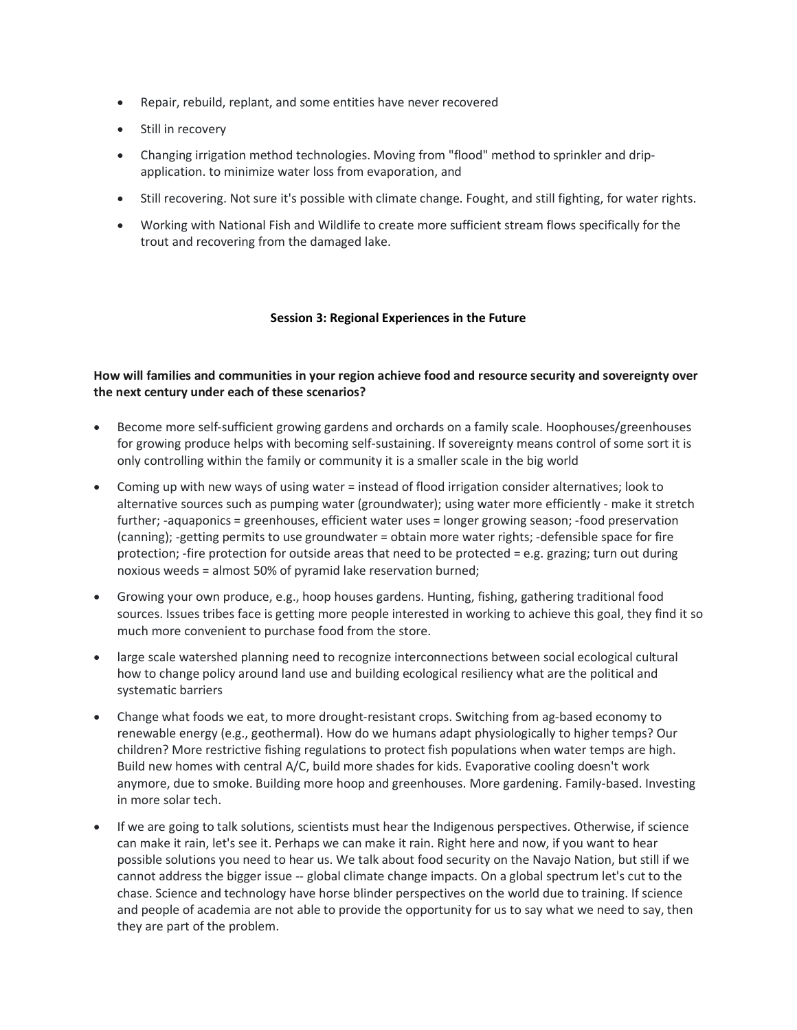- Repair, rebuild, replant, and some entities have never recovered
- Still in recovery
- Changing irrigation method technologies. Moving from "flood" method to sprinkler and dripapplication. to minimize water loss from evaporation, and
- Still recovering. Not sure it's possible with climate change. Fought, and still fighting, for water rights.
- Working with National Fish and Wildlife to create more sufficient stream flows specifically for the trout and recovering from the damaged lake.

## **Session 3: Regional Experiences in the Future**

# **How will families and communities in your region achieve food and resource security and sovereignty over the next century under each of these scenarios?**

- Become more self-sufficient growing gardens and orchards on a family scale. Hoophouses/greenhouses for growing produce helps with becoming self-sustaining. If sovereignty means control of some sort it is only controlling within the family or community it is a smaller scale in the big world
- Coming up with new ways of using water = instead of flood irrigation consider alternatives; look to alternative sources such as pumping water (groundwater); using water more efficiently - make it stretch further; -aquaponics = greenhouses, efficient water uses = longer growing season; -food preservation (canning); -getting permits to use groundwater = obtain more water rights; -defensible space for fire protection; -fire protection for outside areas that need to be protected = e.g. grazing; turn out during noxious weeds = almost 50% of pyramid lake reservation burned;
- Growing your own produce, e.g., hoop houses gardens. Hunting, fishing, gathering traditional food sources. Issues tribes face is getting more people interested in working to achieve this goal, they find it so much more convenient to purchase food from the store.
- large scale watershed planning need to recognize interconnections between social ecological cultural how to change policy around land use and building ecological resiliency what are the political and systematic barriers
- Change what foods we eat, to more drought-resistant crops. Switching from ag-based economy to renewable energy (e.g., geothermal). How do we humans adapt physiologically to higher temps? Our children? More restrictive fishing regulations to protect fish populations when water temps are high. Build new homes with central A/C, build more shades for kids. Evaporative cooling doesn't work anymore, due to smoke. Building more hoop and greenhouses. More gardening. Family-based. Investing in more solar tech.
- If we are going to talk solutions, scientists must hear the Indigenous perspectives. Otherwise, if science can make it rain, let's see it. Perhaps we can make it rain. Right here and now, if you want to hear possible solutions you need to hear us. We talk about food security on the Navajo Nation, but still if we cannot address the bigger issue -- global climate change impacts. On a global spectrum let's cut to the chase. Science and technology have horse blinder perspectives on the world due to training. If science and people of academia are not able to provide the opportunity for us to say what we need to say, then they are part of the problem.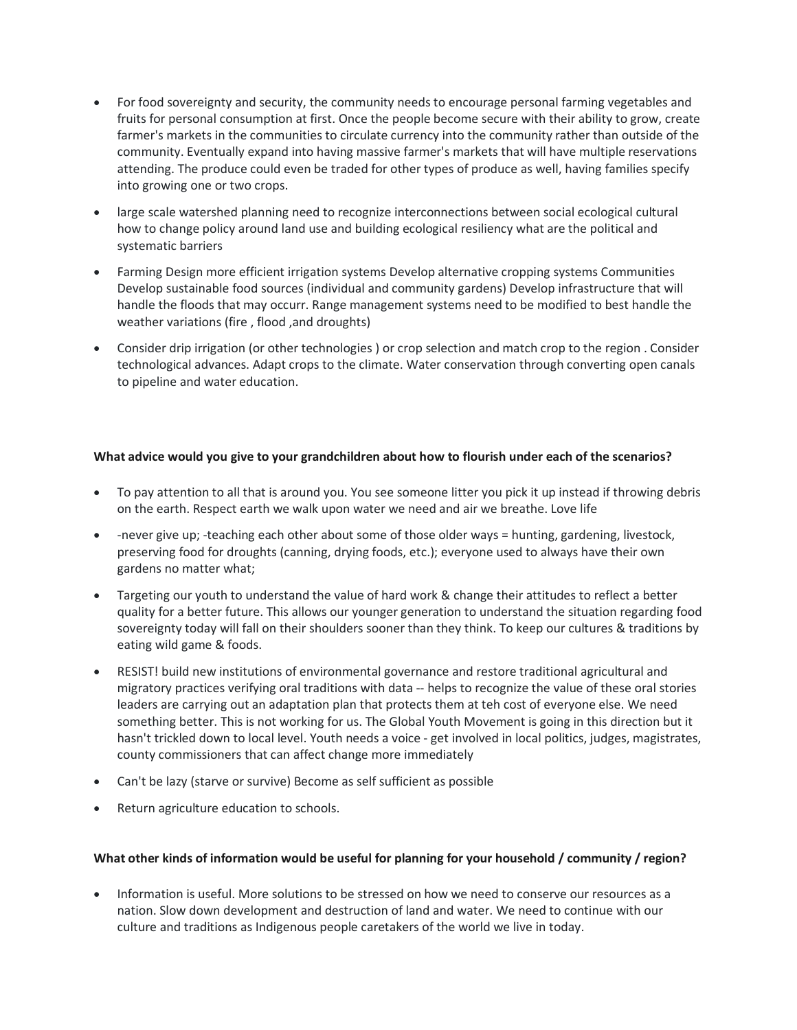- For food sovereignty and security, the community needs to encourage personal farming vegetables and fruits for personal consumption at first. Once the people become secure with their ability to grow, create farmer's markets in the communities to circulate currency into the community rather than outside of the community. Eventually expand into having massive farmer's markets that will have multiple reservations attending. The produce could even be traded for other types of produce as well, having families specify into growing one or two crops.
- large scale watershed planning need to recognize interconnections between social ecological cultural how to change policy around land use and building ecological resiliency what are the political and systematic barriers
- Farming Design more efficient irrigation systems Develop alternative cropping systems Communities Develop sustainable food sources (individual and community gardens) Develop infrastructure that will handle the floods that may occurr. Range management systems need to be modified to best handle the weather variations (fire , flood ,and droughts)
- Consider drip irrigation (or other technologies ) or crop selection and match crop to the region . Consider technological advances. Adapt crops to the climate. Water conservation through converting open canals to pipeline and water education.

## **What advice would you give to your grandchildren about how to flourish under each of the scenarios?**

- To pay attention to all that is around you. You see someone litter you pick it up instead if throwing debris on the earth. Respect earth we walk upon water we need and air we breathe. Love life
- -never give up; -teaching each other about some of those older ways = hunting, gardening, livestock, preserving food for droughts (canning, drying foods, etc.); everyone used to always have their own gardens no matter what;
- Targeting our youth to understand the value of hard work & change their attitudes to reflect a better quality for a better future. This allows our younger generation to understand the situation regarding food sovereignty today will fall on their shoulders sooner than they think. To keep our cultures & traditions by eating wild game & foods.
- RESIST! build new institutions of environmental governance and restore traditional agricultural and migratory practices verifying oral traditions with data -- helps to recognize the value of these oral stories leaders are carrying out an adaptation plan that protects them at teh cost of everyone else. We need something better. This is not working for us. The Global Youth Movement is going in this direction but it hasn't trickled down to local level. Youth needs a voice - get involved in local politics, judges, magistrates, county commissioners that can affect change more immediately
- Can't be lazy (starve or survive) Become as self sufficient as possible
- Return agriculture education to schools.

### **What other kinds of information would be useful for planning for your household / community / region?**

• Information is useful. More solutions to be stressed on how we need to conserve our resources as a nation. Slow down development and destruction of land and water. We need to continue with our culture and traditions as Indigenous people caretakers of the world we live in today.